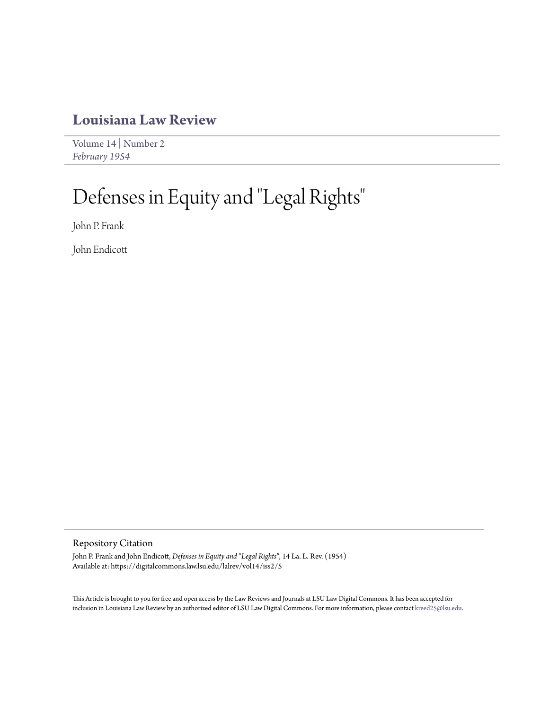### **[Louisiana Law Review](https://digitalcommons.law.lsu.edu/lalrev)**

[Volume 14](https://digitalcommons.law.lsu.edu/lalrev/vol14) | [Number 2](https://digitalcommons.law.lsu.edu/lalrev/vol14/iss2) *[February 1954](https://digitalcommons.law.lsu.edu/lalrev/vol14/iss2)*

# Defenses in Equity and "Legal Rights "

John P. Frank

John Endicott

### Repository Citation

John P. Frank and John Endicott, *Defenses in Equity and "Legal Rights"*, 14 La. L. Rev. (1954) Available at: https://digitalcommons.law.lsu.edu/lalrev/vol14/iss2/5

This Article is brought to you for free and open access by the Law Reviews and Journals at LSU Law Digital Commons. It has been accepted for inclusion in Louisiana Law Review by an authorized editor of LSU Law Digital Commons. For more information, please contact [kreed25@lsu.edu](mailto:kreed25@lsu.edu).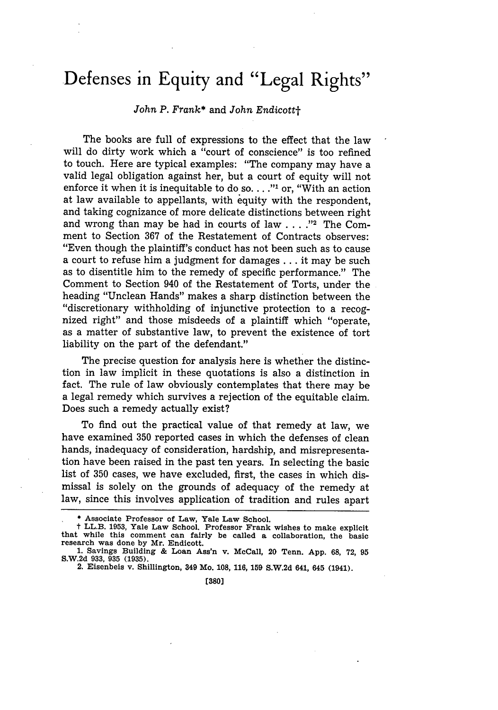## **Defenses in Equity and "Legal Rights"**

### *John P. Frank\** and *John Endicottt*

The books are full of expressions to the effect that the law will do dirty work which a "court of conscience" is too refined to touch. Here are typical examples: "The company may have a valid legal obligation against her, but a court of equity will not enforce it when it is inequitable to do so. .. **."I** or, "With an action at law available to appellants, with equity with the respondent, and taking cognizance of more delicate distinctions between right and wrong than may be had in courts of law . . . .<sup>22</sup> The Comment to Section 367 of the Restatement of Contracts observes: "Even though the plaintiff's conduct has not been such as to cause a court to refuse him a judgment for damages **...** it may be such as to disentitle him to the remedy of specific performance." The Comment to Section 940 of the Restatement of Torts, under the heading "Unclean Hands" makes a sharp distinction between the "discretionary withholding of injunctive protection to a recognized right" and those misdeeds of a plaintiff which "operate, as a matter of substantive law, to prevent the existence of tort liability on the part of the defendant."

The precise question for analysis here is whether the distinction in law implicit in these quotations is also a distinction in fact. The rule of law obviously contemplates that there may be a legal remedy which survives a rejection of the equitable claim. Does such a remedy actually exist?

To find out the practical value of that remedy at law, we have examined 350 reported cases in which the defenses of clean hands, inadequacy of consideration, hardship, and misrepresentation have been raised in the past ten years. In selecting the basic list of 350 cases, we have excluded, first, the cases in which dismissal is solely on the grounds of adequacy of the remedy at law, since this involves application of tradition and rules apart

<sup>\*</sup> **Associate Professor of Law, Yale Law School.**

<sup>t</sup>**LL.B. 1953, Yale** Law School. Professor Frank **wishes** to make explicit **that** while this comment **can** fairly **be** called **a** collaboration, the basic research **was** done **by Mr.** Endicott.

**<sup>1.</sup> Savings Building & Loan Ass'n v. McCall, 20 Tenn. App. 68, 72, 95 S.W.2d 933, 935 (1935).**

**<sup>2.</sup> Eisenbeis v. Shillington, 349 Mo. 108, 116, 159 S.W.2d 641, 645 (1941).**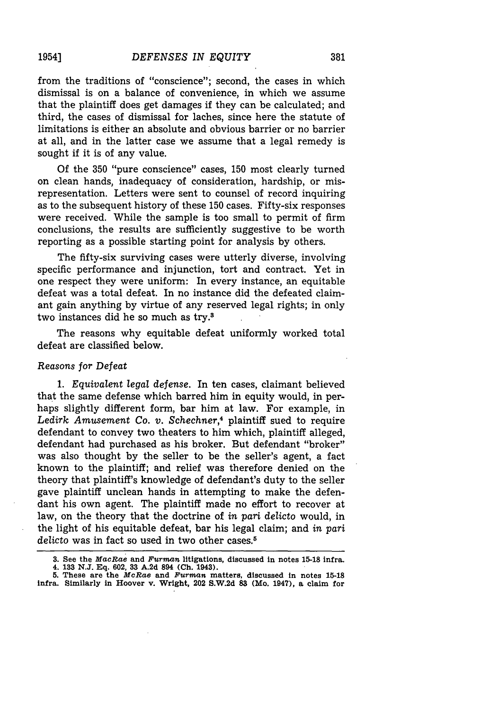from the traditions of "conscience"; second, the cases in which dismissal is on a balance of convenience, in which we assume that the plaintiff does get damages if they can be calculated; and third, the cases of dismissal for laches, since here the statute of limitations is either an absolute and obvious barrier or no barrier at all, and in the latter case we assume that a legal remedy is sought if it is of any value.

Of the 350 "pure conscience" cases, 150 most clearly turned on clean hands, inadequacy of consideration, hardship, or misrepresentation. Letters were sent to counsel of record inquiring as to the subsequent history of these 150 cases. Fifty-six responses were received. While the sample is too small to permit of firm conclusions, the results are sufficiently suggestive to be worth reporting as a possible starting point for analysis by others.

The fifty-six surviving cases were utterly diverse, involving specific performance and injunction, tort and contract. Yet in one respect they were uniform: In every instance, an equitable defeat was a total defeat. In no instance did the defeated claimant gain anything by virtue of any reserved legal rights; in only two instances did he so much as try.3

The reasons why equitable defeat uniformly worked total defeat are classified below.

### Reasons *for Defeat*

1. *Equivalent legal defense.* In ten cases, claimant believed that the same defense which barred him in equity would, in perhaps slightly different form, bar him at law. For example, in *Ledirk Amusement Co. v. Schechner,4* plaintiff sued to require defendant to convey two theaters to him which, plaintiff alleged, defendant had purchased as his broker. But defendant "broker" was also thought by the seller to be the seller's agent, a fact known to the plaintiff; and relief was therefore denied on the theory that plaintiff's knowledge of defendant's duty to the seller gave plaintiff unclean hands in attempting to make the defendant his own agent. The plaintiff made no effort to recover at law, on the theory that the doctrine of *in pari delicto* would, in the light of his equitable defeat, bar his legal claim; and *in pari* delicto was in fact so used in two other cases.<sup>5</sup>

**<sup>3.</sup> See the** *MacRae* **and** *Furman* **litigations, discussed in notes 15-18 infra.**

<sup>4.</sup> **133 N.J. Eq. 602, 33 A.2d 894 (Ch. 1943).**

**<sup>5.</sup>** These are **the** *McRae* **and** *Furman* matters, **discussed in notes 15-18** infra. Similarly **in Hoover** v. Wright, 202 **S.W.2d 83 (Mo.** 1947), **a** claim for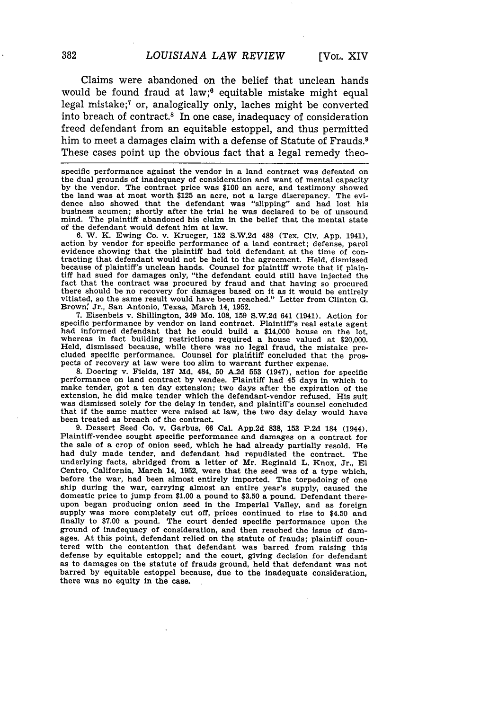Claims were abandoned on the belief that unclean hands would be found fraud at law;<sup>6</sup> equitable mistake might equal legal mistake;7 or, analogically only, laches might be converted into breach of contract.8 In one case, inadequacy of consideration freed defendant from an equitable estoppel, and thus permitted him to meet a damages claim with a defense of Statute of Frauds.<sup>9</sup> These cases point up the obvious fact that a legal remedy theo-

specific performance against the vendor in a land contract was defeated on the dual grounds of inadequacy of consideration and want of mental capacity by the vendor. The contract price was \$100 an acre, and testimony showed the land was at most worth \$125 an acre, not a large discrepancy. The evidence also showed that the defendant was "slipping" and had lost his business acumen; shortly after the trial he was declared to be of unsound mind. The plaintiff abandoned his claim in the belief that the mental state of the defendant would defeat him at law.

6. W. K. Ewing Co. v. Krueger, 152 S.W.2d 488 (Tex. Civ. App. 1941), action by vendor for specific performance of a land contract; defense, parol evidence showing that the plaintiff had told defendant at the time of con-<br>tracting that defendant would not be held to the agreement. Held, dismissed<br>because of plaintiff's unclean hands. Counsel for plaintiff wrote that tiff had sued for damages only, "the defendant could still have injected the fact that the contract was procured by fraud and that having so procured there should be no recovery for damages based on it as it would be entirely there showed as it is the same result would have been reached." Letter from Clinton G. Brown: Jr., San Antonio, Texas, March 14, **1952.**

7. Eisenbeis v. Shillington, 349 Mo. 108, 159 S.W.2d 641 (1941). Action for specific performance by vendor on land contract. Plaintiff's real estate agent had informed defendant that he could build a \$14,000 house on the lot, whereas in fact building restrictions required a house valued at \$20,000 Held, dismissed because, while there was no legal fraud, the mistake pre- cluded specific performance. Counsel for plaifitiff concluded that the proscluded specific performance. Counsel for plaintiff concluded that the prospects of recovery at law were too slim to warrant further expense.

8. Doering v. Fields, **187 Md.** 484, **50** A.2d **553** (1947), action for specific performance on land contract by vendee. Plaintiff had 45 days in which to make tender, got a ten day extension; two days after the expiration of the extension, he did make tender which the defendant-vendor refused. His suit was dismissed solely for the delay in tender, and plaintiff's counsel concluded that if the same matter were raised at law, the two day delay would have been treated as breach of the contract.

9. Dessert Seed Co. v. Garbus, 66 Cal. App.2d 838, 153 P.2d 184 (1944). Plaintiff-vendee sought specific performance and damages on a contract for the sale of a crop of onion seed, which he had already partially resold. He had duly made tender, and defendant had repudiated the contract. The underlying facts, abridged from a letter of Mr. Reginald L. Knox, Jr., **El** Centro, California, March 14, 1952, were that the seed was of a type which, before the war, had been almost entirely imported. The torpedoing of one ship during the war, carrying almost an entire year's supply, caused the domestic price to jump from \$1.00 a pound to \$3.50 a pound. Defendant thereupon began producing onion seed in the Imperial Valley, and as foreign supply was more completely cut off, prices continued to rise to \$4.50 and finally to \$7.00 a pound. The court denied specific performance upon the ground of inadequacy of consideration, and then reached the issue of damages. At this point, defendant relied on the statute of frauds; plaintiff coun- tered with the contention that defendant was barred from raising this defense by equitable estoppel; and the court, giving decision for defendant as to damages on the statute of frauds ground, held that defendant was not barred by equitable estoppel because, due to the inadequate consideration, there was no equity in the case.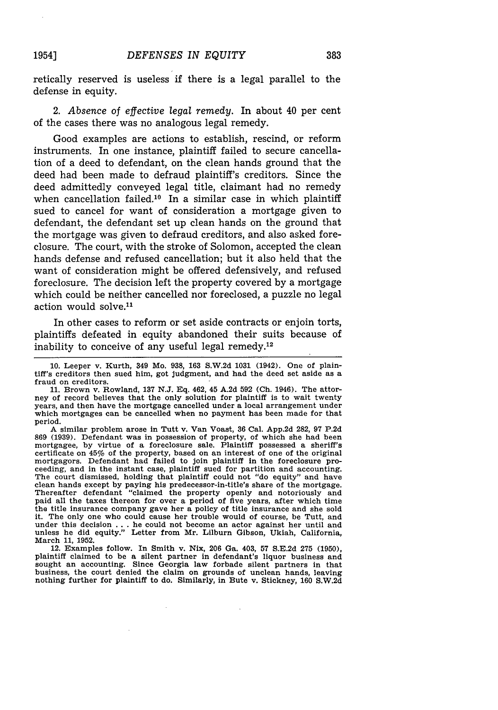retically reserved is useless if there is a legal parallel to the defense in equity.

2. *Absence* of *effective legal remedy.* In about 40 per cent of the cases there was no analogous legal remedy.

Good examples are actions to establish, rescind, or reform instruments. In one instance, plaintiff failed to secure cancellation of a deed to defendant, on the clean hands ground that the deed had been made to defraud plaintiff's creditors. Since the deed admittedly conveyed legal title, claimant had no remedy when cancellation failed.<sup>10</sup> In a similar case in which plaintiff sued to cancel for want of consideration a mortgage given to defendant, the defendant set up clean hands on the ground that the mortgage was given to defraud creditors, and also asked foreclosure. The court, with the stroke of Solomon, accepted the clean hands defense and refused cancellation; but it also held that the want of consideration might be offered defensively, and refused foreclosure. The decision left the property covered by a mortgage which could be neither cancelled nor foreclosed, a puzzle no legal action would solve.<sup>11</sup>

In other cases to reform or set aside contracts or enjoin torts, plaintiffs defeated in equity abandoned their suits because of inability to conceive of any useful legal remedy. $12$ 

11. Brown v. Rowland, **137** N.J. Eq. 462, 45 A.2d 592 (Oh. 1946). The attorney of record believes that the only solution for plaintiff is to wait twenty years, and then have the mortgage cancelled under a local arrangement under which mortgages can be cancelled when no payment has been made for that period.

A similar problem arose in Tutt v. Van Voast, 36 Cal. App.2d 282, 97 P.2d 869 (1939). Defendant was in possession of property, of which she had been mortgagee, by virtue of a foreclosure sale. Plaintiff possessed a sheriff's certificate on 45% of the property, based on an interest of one of the original mortgagors. Defendant had failed to join plaintiff in the foreclosure proceeding, and in the instant case, plaintiff sued for partition and accounting. The court dismissed, holding that plaintiff could not "do equity" and have clean hands except by paying his predecessor-in-title's share of the mortgage. Thereafter defendant "claimed the property openly and notoriously and paid all the taxes thereon for over a period of five years, after which time the title insurance company gave her a policy of title insurance and she sold it. The only one who could cause her trouble would of course, be Tutt, and under this decision . . . he could not become an actor against her until and unless he did equity." Letter from Mr. Lilburn Gibson, Ukiah, California, March 11, 1952.

12. Examples follow. In Smith v. Nix, 206 Ga. 403, 57 S.E.2d 275 (1950), plaintiff claimed to be a silent partner in defendant's liquor business and sought an accounting. Since Georgia law forbade silent partners in that business, the court denied the claim on grounds of unclean hands, leaving nothing further for plaintiff to do. Similarly, in Bute v. Stickney, 160 S.W.2d

<sup>10.</sup> Leeper v. Kurth, 349 Mo. 938, 163 S.W.2d 1031 (1942). One of plaintiff's creditors then sued him, got judgment, and had the deed set aside as a fraud on creditors.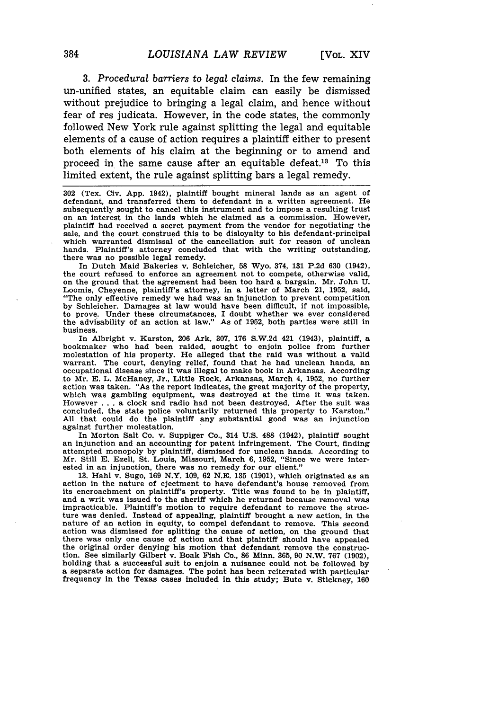3. *Procedural barriers* to *legal* claims. In the few remaining un-unified states, an equitable claim can easily be dismissed without prejudice to bringing a legal claim, and hence without fear of res judicata. However, in the code states, the commonly followed New York rule against splitting the legal and equitable elements of a cause of action requires a plaintiff either to present both elements of his claim at the beginning or to amend and proceed in the same cause after an equitable defeat.18 To this limited extent, the rule against splitting bars a legal remedy.

**302** (Tex. Civ. App. 1942), plaintiff bought mineral lands as an agent of defendant, and transferred them to defendant in a written agreement. He subsequently sought to cancel this instrument and to impose a resulting trust on an interest in the lands which he claimed as a commission. However, plaintiff had received a secret payment from the vendor for negotiating the sale, and the court construed this to be disloyalty to his defendant-principal which warranted dismissal of the cancellation suit for reason of unclean hands. Plaintiff's attorney concluded that with the writing outstanding, there was no possible legal remedy.

In Dutch Maid Bakeries v. Schleicher, **58** Wyo. 374, **131** P.2d **630** (1942), the court refused to enforce an agreement not to compete, otherwise valid, on the ground that the agreement had been too hard a bargain. Mr. John U. Loomis, Cheyenne, plaintiff's attorney, in a letter of March 21, 1952, said, "The only effective remedy we had was an injunction to prevent competition by Schleicher. Damages at law would have been difficult, if not impossible, to prove. Under these circumstances, I doubt whether we ever considered the advisability of an action at law." As of 1952, both parties were still in business.

In Albright v. Karston, **206** Ark. 307, **176 S.W.2d** 421 (1943), plaintiff, a bookmaker who had been raided, sought to enjoin police from further molestation of his property. He alleged that the raid was without a valid warrant. The court, denying relief, found that he had unclean hands, an occupational disease since it was illegal to make book in Arkansas. According to Mr. E. L. McHaney, Jr., Little Rock, Arkansas, March 4, 1952, no further action was taken. "As the report indicates, the great majority of the property, which was gambling equipment, was destroyed at the time it was taken. However . . . a clock and radio had not been destroyed. After the suit was concluded, the state police voluntarily returned this property to Karston." All that could do the plaintiff any substantial good was an injunction against further molestation.

In Morton Salt Co. v. Suppiger Co., 314 **U.S.** 488 (1942), plaintiff sought an injunction and an accounting for patent infringement. The Court, finding attempted monopoly by plaintiff, dismissed for unclean hands. According to Mr. Still E. Ezell, St. Louis, Missouri, March 6, 1952, "Since we were interested in an injunction, there was no remedy for our client." 13. Hahl v. Sugo, 169 N.Y. 109, 62 N.E. 135 **(1901),** which originated as an

action in the nature of ejectment to have defendant's house removed from its encroachment on plaintiff's property. Title was found to be in plaintiff, and a writ was issued to the sheriff which he returned because removal was impracticable. Plaintiff's motion to require defendant to remove the structure was denied. Instead of appealing, plaintiff brought a new action, in the nature of an action in equity, to compel defendant to remove. This second action was dismissed for splitting the cause of action, on the ground that there was only one cause of action and that plaintiff should have appealed the original order denying his motion that defendant remove the construction. See similarly Gilbert v. Boak Fish Co., **86** Minn. 365, 90 N.W. 767 (1902), holding that a successful suit to enjoin a nuisance could not be followed by a separate action for damages. The point has been reiterated with particular frequency In the Texas cases included in this study; Bute v. Stickney, **160**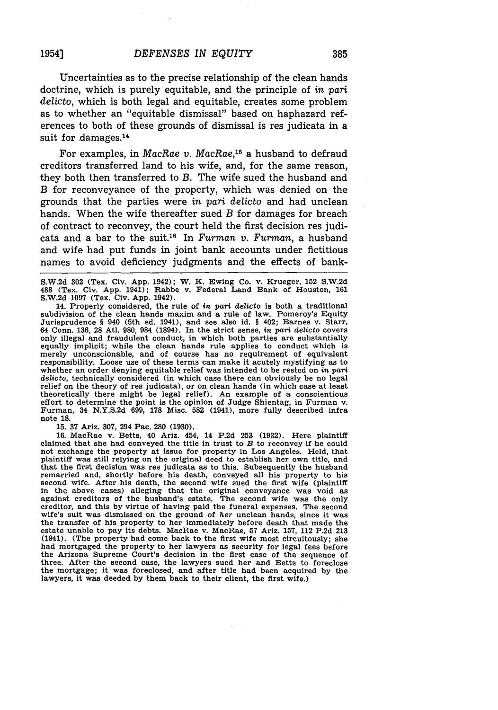Uncertainties as to the precise relationship of the clean hands doctrine, which is purely equitable, and the principle of in *pari delicto,* which is both legal and equitable, creates some problem as to whether an "equitable dismissal" based on haphazard references to both of these grounds of dismissal is res judicata in a suit for damages.<sup>14</sup>

For examples, in *MacRae v. MacRae,15* a husband to defraud creditors transferred land to his wife, and, for the same reason, they both then transferred to *B.* The wife sued the husband and *B* for reconveyance of the property, which was denied on the grounds that the parties were *in pari delicto* and had unclean hands. When the wife thereafter sued *B* for damages for breach of contract to reconvey, the court held the first decision res judicata and a bar to the suit.16 In *Furman v. Furman,* a husband and wife had put funds in joint bank accounts under fictitious names to avoid deficiency judgments and the effects of bank-

S.W.2d 302 (Tex. Civ. App. 1942); W. K. Ewing Co. v. Krueger, 152 S.W.2d 488 (Tex. Civ. App. 1941); Rabbe v. Federal Land Bank of Houston, 161 S.W.2d 1097 (Tex. Civ. App. 1942).

14. Properly considered, the rule of in *part delicto* is both a traditional subdivision of the clean hands maxim and a rule of law. Pomeroy's Equity Jurisprudence § 940 (5th ed. 1941), and see also id. § 402; Barnes v. Starr, 64 Conn. 136, 28 Atl. 980, 984 (1894). In the strict sense, *in part* delicto covers only illegal and fraudulent conduct, in which both parties are substantially equally implicit; while the clean hands rule applies to conduct which is merely unconscionable, and of course has no requirement of equivalent responsibility. Loose use of these terms can make it acutely mystifying as to whether an order denying equitable relief was intended to be rested on *in part delicto,* technically considered (in which case there can obviously be no legal relief on the theory of res judicata), or on clean hands (in which case at least theoretically there might be legal relief). An example of a conscientious effort to determine the point is the opinion of Judge Shientag, in Furman v. Furman, 34 N.Y.S.2d 699, 178 Misc. 582 (1941), more fully described infra note **18.**

**15. 37** Ariz. **307,** 294 Pac. **280 (1930).**

**16.** MacRae v. Betts, 40 Ariz. 454, 14 **P.2d 253 (1932).** Here plaintiff claimed that she had conveyed the title in trust to *B* to reconvey if he could not exchange the property at issue for property in Los Angeles. Held, that plaintiff was still relying on the original deed to establish her own title, and that the first decision was res judicata as to this. Subsequently the husband remarried and, shortly before his death, conveyed all his property to his second wife. After his death, the second wife sued the first wife (plaintiff in the above cases) alleging that the original conveyance was void as against creditors of the husband's estate. The second wife was the only creditor, and this **by** virtue of having paid the funeral expenses. The second wife's suit was dismissed on the ground of *her* unclean hands, since it was the transfer of his property to her immediately before death that made the estate unable to pay its debts. MacRae v. MacRae, **57** Ariz. **157,** 112 **P.2d 213** (1941). (The property had come back to the first wife most circuitously; she had mortgaged the property to her lawyers as security for legal fees before the Arizona Supreme Court's decision in the first case of the sequence of three. After the second case, the lawyers sued her and Betts to foreclose the mortgage; it was foreclosed, and after title had been acquired **by** the lawyers, it was deeded **by** them back to their client, the first wife.)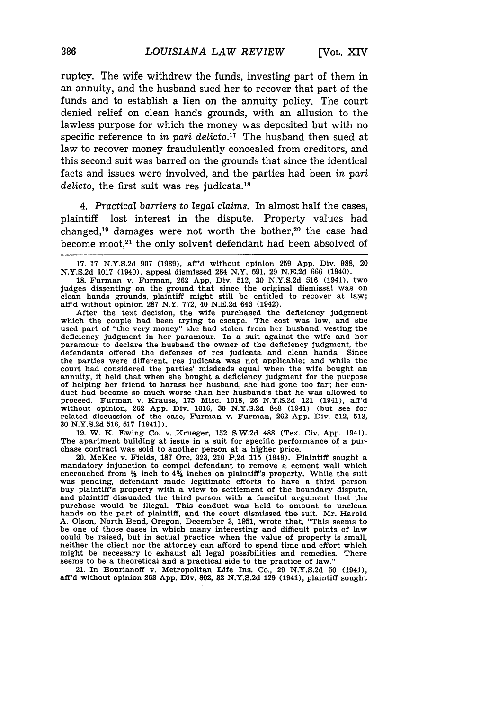ruptcy. The wife withdrew the funds, investing part of them in an annuity, and the husband sued her to recover that part of the funds and to establish a lien on the annuity policy. The court denied relief on clean hands grounds, with an allusion to the lawless purpose for which the money was deposited but with no specific reference to *in pari delicto.17* The husband then sued at law to recover money fraudulently concealed from creditors, and this second suit was barred on the grounds that since the identical facts and issues were involved, and the parties had been *in pari* delicto, the first suit was res judicata.<sup>18</sup>

4. *Practical barriers* to *legal claims.* In almost half the cases, plaintiff lost interest in the dispute. Property values had changed,<sup>19</sup> damages were not worth the bother,<sup>20</sup> the case had become moot,<sup>21</sup> the only solvent defendant had been absolved of

After the text decision, the wife purchased the deficiency judgment which the couple had been trying to escape. The cost was low, and she used part of "the very money" she had stolen from her husband, vesting the deficiency judgment in her paramour. In a suit against the wife and her paramour to declare the husband the owner of the deficiency judgment, the defendants offered the defenses of res judicata and clean hands. Since the parties were different, res judicata was not applicable; and while the court had considered the parties' misdeeds equal when the wife bought an annuity, it held that when she bought a deficiency judgment for the purpose of helping her friend to harass her husband, she had gone too far; her con- duct had become so much worse than her husband's that he was allowed to proceed. Furman v. Krauss, 175 Misc. 1018, 26 N.Y.S.2d 121 (1941), aff'd without opinion, 262 App. Div. 1016, **30** N.Y.S.2d 848 (1941) (but see for related discussion of the case, Furman v. Furman, 262 App. Div. 512, 513, **30 N.Y.S.2d 516, 517** [1941)).

**19.** W. K. Ewing Co. v. Krueger, **152 S.W.2d 488** (Tex. Civ. App. 1941). The apartment building at issue in a suit for specific performance of a purchase contract was sold to another person at a higher price.

20. McKee v. Fields, **187** Ore. **323,** 210 **P.2d 115** (1949). Plaintiff sought a mandatory injunction to compel defendant to remove a cement wall which encroached from  $\frac{1}{2}$  inch to  $4\frac{3}{4}$  inches on plaintiff's property. While the suit was pending, defendant made legitimate efforts to have a third person buy plaintiff's property with a view to settlement of the boundary dispute, and plaintiff dissuaded the third person with a fanciful argument that the purchase would be illegal. This conduct was held to amount to unclean hands on the part of plaintiff, and the court dismissed the suit. Mr. Harold **A.** Olson, North Bend, Oregon, December **3, 1951,** wrote that, "This seems to be one of those cases in which many interesting and difficult points of law could be raised, but in actual practice when the value of property is small, neither the client nor the attorney can afford to spend time and effort which might be necessary to exhaust all legal possibilities and remedies. There seems to be a theoretical and a practical side to the practice of law."

21. In Bourianoff v. Metropolitan Life Ins. Co., **29 N.Y.S.2d 50** (1941), aff'd without opinion **263 App.** Div. 802, **32 N.Y.S.2d 129** (1941), plaintiff sought

<sup>17. 17</sup> N.Y.S.2d 907 (1939), aff'd without opinion 259 App. Div. 988, 20 N.Y.S.2d 1017 (1940), appeal dismissed 284 N.Y. 591, 29 N.E.2d 666 (1940).

<sup>18.</sup> Furman v. Furman, 262 App. Div. 512, 30 N.Y.S.2d 516 (1941), two judges dissenting on the ground that since the original dismissal was on clean hands grounds, plaintiff might still be entitled to recover at law; aff'd without opinion 287 N.Y. 772, 40 N.E.2d 643 (1942).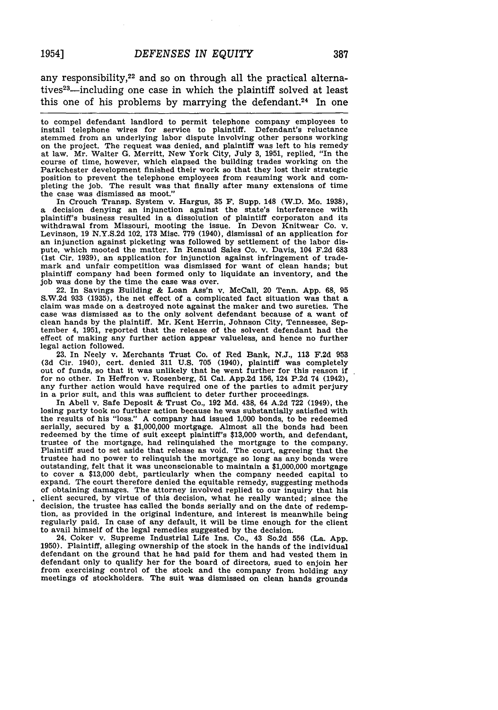any responsibility, $2<sup>2</sup>$  and so on through all the practical alternatives<sup>23</sup>-including one case in which the plaintiff solved at least this one of his problems by marrying the defendant.<sup>24</sup> In one

to compel defendant landlord to permit telephone company employees to install telephone wires for service to plaintiff. Defendant's reluctance stemmed from an underlying labor dispute involving other persons working on the project. The request was denied, and plaintiff was left to his remedy at law. Mr. Walter G. Merritt, New York City, July 3, 1951, replied, "In the course of time, however, which elapsed the building trades working on the Parkchester development finished their work so that they lost their strategic position to prevent the telephone employees from resuming work and completing the job. The result was that finally after many extensions of time the case was dismissed as moot."

In Crouch Transp. System v. Hargus, 35 F. Supp. 148 (W.D. Mo. 1938), a decision denying an injunction against the state's interference with plaintiff's business resulted in a dissolution of plaintiff corporaton and its withdrawal from Missouri, mooting the issue. In Devon Knitwear Co. v. Levinson, 19 N.Y.S.2d 102, 173 Misc. 779 (1940), dismissal of an application for an injunction against picketing was followed by settlement of the labor dispute, which mooted the matter. In Renaud Sales Co. v. Davis, 104 **F.2d 683** (1st Cir. **1939),** an application for injunction against infringement of trademark and unfair competition was dismissed for want of clean hands; but plaintiff company had been formed only to liquidate an inventory, and the **job** was done **by** the time the case was over.

22. In Savings Building **&** Loan Ass'n v. McCall, 20 Tenn. **App. 68, 95 S.W.2d 933 (1935),** the net effect of a complicated fact situation was that a claim was made on a destroyed note against the maker and two sureties. The case was dismissed as to the only solvent defendant because of a want of clean hands **by** the plaintiff. Mr. Kent Herrin, Johnson City, Tennessee, Sep-tember 4, **1951,** reported that the release of the solvent defendant had the effect of making any further action appear valueless, and hence no further legal action followed.

**23.** In Neely v. Merchants Trust Co. of Red Bank, **N.J., 113 F.2d 953 (3d** Cir. 1940), cert. denied **311 U.S. 705** (1940), plaintiff was completely out of funds, so that it was unlikely that he went further for this reason if for no other. In Heffron v. Rosenberg, **51** Cal. **App.2d 156,** 124 **P.2d** 74 (1942), any further action would have required one of the parties to admit perjury in a prior suit, and this was sufficient to deter further proceedings.

In Abell v. Safe Deposit **&** Trust Co., **192 Md.** 438, 64 **A.2d** 722 (1949), the losing party took no further action because he was substantially satisfied with the results of his "loss." A company had issued **1,000** bonds, to be redeemed serially, secured **by** a **\$1,000,000** mortgage. Almost all the bonds had been redeemed **by** the time of suit except plaintiff's **\$13,000** worth, and defendant, trustee of the mortgage, had relinquished the mortgage to the company. Plaintiff sued to set aside that release as void. The court, agreeing that the trustee had no power to relinquish the mortgage so long as any bonds were outstanding, felt that it was unconscionable to maintain a **\$1,000,000** mortgage to cover a **\$13,000** debt, particularly when the company needed capital to expand. The court therefore denied the equitable remedy, suggesting methods of obtaining damages. The attorney involved replied to our inquiry that his client secured, **by** virtue of this decision, what he really wanted; since the decision, the trustee has called the bonds serially and on the date of redemption, as provided in the original indenture, and interest is meanwhile being regularly paid. In case of any default, it will be time enough for the client to avail himself of the legal remedies suggested **by** the decision.

24. Coker v. Supreme Industrial Life Ins. Co., 43 So.2d **556** (La. **App. 1950).** Plaintiff, alleging ownership of the stock in the hands of the individual defendant on the ground that he had paid for them and had vested them in defendant only to qualify her for the board of directors, sued to enjoin her from exercising control of the stock and the company from holding any meetings of stockholders. The suit was dismissed on clean hands grounds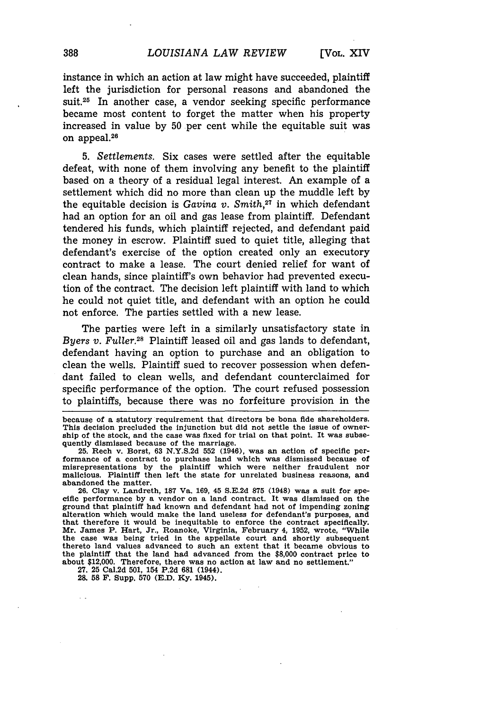instance in which an action at law might have succeeded, plaintiff left the jurisdiction for personal reasons and abandoned the suit.<sup>25</sup> In another case, a vendor seeking specific performance became most content to forget the matter when his property increased in value by 50 per cent while the equitable suit was on appeal.<sup>26</sup>

5. *Settlements.* Six cases were settled after the equitable defeat, with none of them involving any benefit to the plaintiff based on a theory of a residual legal interest. An example of a settlement which did no more than clean up the muddle left by the equitable decision is *Gavina v. Smith,27* in which defendant had an option for an oil and gas lease from plaintiff. Defendant tendered his funds, which plaintiff rejected, and defendant paid the money in escrow. Plaintiff sued to quiet title, alleging that defendant's exercise of the option created only an executory contract to make a lease. The court denied relief for want of clean hands, since plaintiff's own behavior had prevented execution of the contract. The decision left plaintiff with land to which he could not quiet title, and defendant with an option he could not enforce. The parties settled with a new lease.

The parties were left in a similarly unsatisfactory state in *Byers v. Fuller.28* Plaintiff leased oil and gas lands to defendant, defendant having an option to purchase and an obligation to clean the wells. Plaintiff sued to recover possession when defendant failed to clean wells, and defendant counterclaimed for specific performance of the option. The court refused possession to plaintiffs, because there was no forfeiture provision in the

2& **58** F. Supp. **570 (E.D. Ky.** 1945).

because of a statutory requirement that directors be bona fide shareholders. This decision precluded the injunction but did not settle the issue of owner-ship of the stock, and the case was fixed for trial on that point. It was subsequently dismissed because of the marriage.

<sup>25.</sup> Rech v. Borst, **63 N.Y.S.2d 552** (1946), was an action of specific performance of a contract to purchase land which was dismissed because of misrepresentations by the plaintiff which were neither fraudulent nor malicious. Plaintiff then left the state for unrelated business reasons, and abandoned the matter.

**<sup>26.</sup>** Clay v. Landreth, **187** Va. **169,** 45 **S.E.2d 875** (1948) was a suit for spe**cific** performance **by** a vendor on a land contract. It was dismissed on the ground that plaintiff had known and defendant had not of impending zoning alteration which would make the land useless for defendant's purposes, and that therefore it would be inequitable to enforce the contract specifically. Mr. James P. Hart, Jr., Roanoke, Virginia, February 4, **1952,** wrote, "While the case was being tried in the appellate court and shortly subsequently thereto land values advanced to such an extent that it became obvious to the plaintiff that the land had advanced from the **\$8,000** contract price to about \$12,000. Therefore, there was no action at law and no settlement." **27. 25** Cal.2d **501,** 154 **P.2d 681** (1944).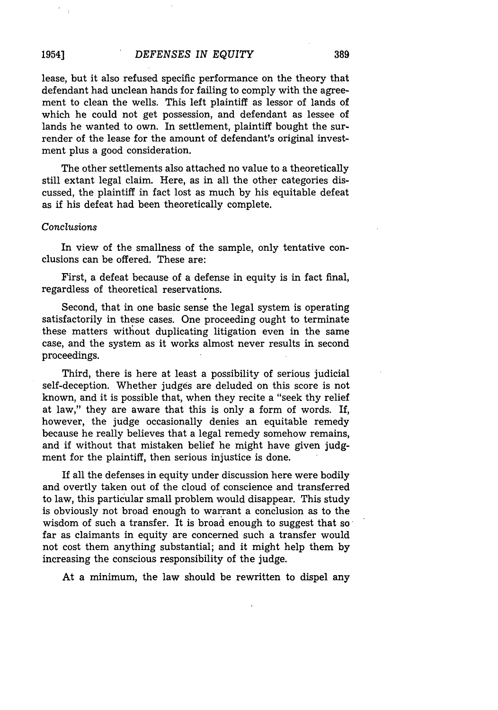lease, but it also refused specific performance on the theory that defendant had unclean hands for failing to comply with the agreement to clean the wells. This left plaintiff as lessor of lands of which he could not get possession, and defendant as lessee of lands he wanted to own. In settlement, plaintiff bought the surrender of the lease for the amount of defendant's original investment plus a good consideration.

The other settlements also attached no value to a theoretically still extant legal claim. Here, as in all the other categories discussed, the plaintiff in fact lost as much by his equitable defeat as if his defeat had been theoretically complete.

#### *Conclusions*

In view of the smallness of the sample, only tentative conclusions can be offered. These are:

First, a defeat because of a defense in equity is in fact final, regardless of theoretical reservations.

Second, that in one basic sense the legal system is operating satisfactorily in these cases. One proceeding ought to terminate these matters without duplicating litigation even in the same case, and the system as it works almost never results in second proceedings.

Third, there is here at least a possibility of serious judicial self-deception. Whether judges are deluded on this score is not known, and it is possible that, when they recite a "seek thy relief at law," they are aware that this is only a form of words. If, however, the judge occasionally denies an equitable remedy because he really believes that a legal remedy somehow remains, and if without that mistaken belief he might have given judgment for the plaintiff, then serious injustice is done.

If all the defenses in equity under discussion here were bodily and overtly taken out of the cloud of conscience and transferred to law, this particular small problem would disappear. This study is obviously not broad enough to warrant a conclusion as to the wisdom of such a transfer. It is broad enough to suggest that so far as claimants in equity are concerned such a transfer would not cost them anything substantial; and it might help them by increasing the conscious responsibility of the judge.

At a minimum, the law should be rewritten to dispel any